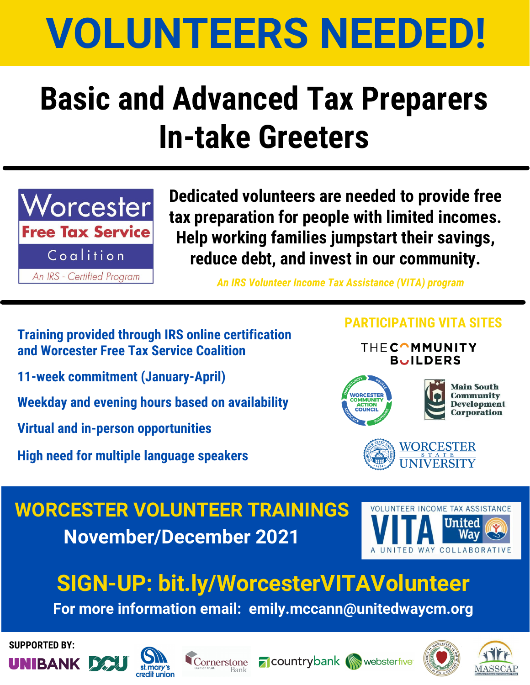# **VOLUNTEERS NEEDED!**

## **Basic and Advanced Tax Preparers In-take Greeters**



**Dedicated volunteers are needed to provide free tax preparation for people with limited incomes. Help working families jumpstart their savings, reduce debt, and invest in our community.**

*An IRS Volunteer Income Tax Assistance (VITA) program*

#### **Training provided through IRS online certification and Worcester Free Tax Service Coalition**

**11-week commitment (January-April)**

**Weekday and evening hours based on availability**

**Virtual and in-person opportunities**

**High need for multiple language speakers**

#### **PARTICIPATING VITA SITES**

**THECOMMUNITY BUILDERS** 



**Main South Community** 



### **WORCESTER VOLUNTEER TRAININGS November/December 2021**



### **SIGN-UP: [bit.ly/WorcesterVITAVolunteer](http://bit.ly/WorcesterVITAVolunteer)**

**For more information email: emily.mccann@unitedwaycm.org**

**SUPPORTED BY:**